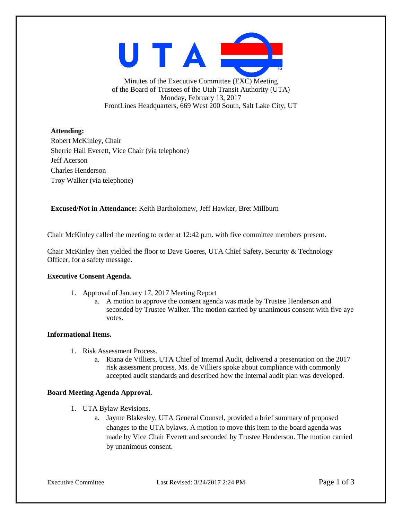UTAI

Minutes of the Executive Committee (EXC) Meeting of the Board of Trustees of the Utah Transit Authority (UTA) Monday, February 13, 2017 FrontLines Headquarters, 669 West 200 South, Salt Lake City, UT

## **Attending:**

Robert McKinley, Chair Sherrie Hall Everett, Vice Chair (via telephone) Jeff Acerson Charles Henderson Troy Walker (via telephone)

**Excused/Not in Attendance:** Keith Bartholomew, Jeff Hawker, Bret Millburn

Chair McKinley called the meeting to order at 12:42 p.m. with five committee members present.

Chair McKinley then yielded the floor to Dave Goeres, UTA Chief Safety, Security & Technology Officer, for a safety message.

#### **Executive Consent Agenda.**

- 1. Approval of January 17, 2017 Meeting Report
	- a. A motion to approve the consent agenda was made by Trustee Henderson and seconded by Trustee Walker. The motion carried by unanimous consent with five aye votes.

#### **Informational Items.**

- 1. Risk Assessment Process.
	- a. Riana de Villiers, UTA Chief of Internal Audit, delivered a presentation on the 2017 risk assessment process. Ms. de Villiers spoke about compliance with commonly accepted audit standards and described how the internal audit plan was developed.

#### **Board Meeting Agenda Approval.**

- 1. UTA Bylaw Revisions.
	- a. Jayme Blakesley, UTA General Counsel, provided a brief summary of proposed changes to the UTA bylaws. A motion to move this item to the board agenda was made by Vice Chair Everett and seconded by Trustee Henderson. The motion carried by unanimous consent.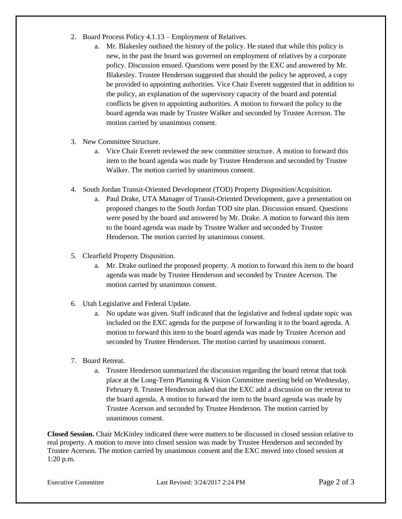- 2. Board Process Policy 4.1.13 Employment of Relatives.
	- a. Mr. Blakesley outlined the history of the policy. He stated that while this policy is new, in the past the board was governed on employment of relatives by a corporate policy. Discussion ensued. Questions were posed by the EXC and answered by Mr. Blakesley. Trustee Henderson suggested that should the policy be approved, a copy be provided to appointing authorities. Vice Chair Everett suggested that in addition to the policy, an explanation of the supervisory capacity of the board and potential conflicts be given to appointing authorities. A motion to forward the policy to the board agenda was made by Trustee Walker and seconded by Trustee Acerson. The motion carried by unanimous consent.
- 3. New Committee Structure.
	- a. Vice Chair Everett reviewed the new committee structure. A motion to forward this item to the board agenda was made by Trustee Henderson and seconded by Trustee Walker. The motion carried by unanimous consent.
- 4. South Jordan Transit-Oriented Development (TOD) Property Disposition/Acquisition.
	- a. Paul Drake, UTA Manager of Transit-Oriented Development, gave a presentation on proposed changes to the South Jordan TOD site plan. Discussion ensued. Questions were posed by the board and answered by Mr. Drake. A motion to forward this item to the board agenda was made by Trustee Walker and seconded by Trustee Henderson. The motion carried by unanimous consent.
- 5. Clearfield Property Disposition.
	- a. Mr. Drake outlined the proposed property. A motion to forward this item to the board agenda was made by Trustee Henderson and seconded by Trustee Acerson. The motion carried by unanimous consent.
- 6. Utah Legislative and Federal Update.
	- a. No update was given. Staff indicated that the legislative and federal update topic was included on the EXC agenda for the purpose of forwarding it to the board agenda. A motion to forward this item to the board agenda was made by Trustee Acerson and seconded by Trustee Henderson. The motion carried by unanimous consent.
- 7. Board Retreat.
	- a. Trustee Henderson summarized the discussion regarding the board retreat that took place at the Long-Term Planning & Vision Committee meeting held on Wednesday, February 8. Trustee Henderson asked that the EXC add a discussion on the retreat to the board agenda. A motion to forward the item to the board agenda was made by Trustee Acerson and seconded by Trustee Henderson. The motion carried by unanimous consent.

**Closed Session.** Chair McKinley indicated there were matters to be discussed in closed session relative to real property. A motion to move into closed session was made by Trustee Henderson and seconded by Trustee Acerson. The motion carried by unanimous consent and the EXC moved into closed session at 1:20 p.m.